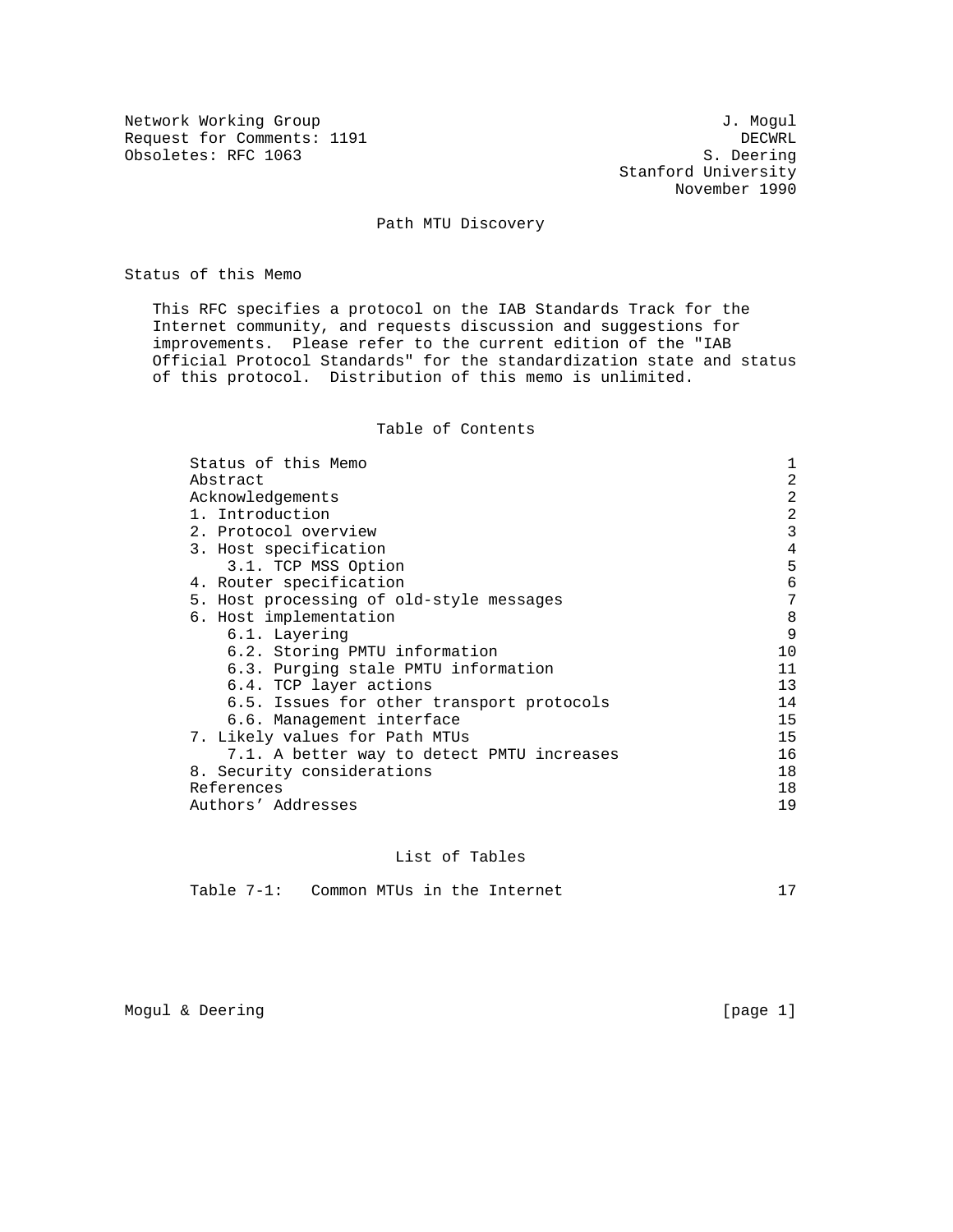Network Working Group<br>Request for Comments: 1191 Request for Comments: 1191 DECWRL DECWRL DECWRL DECWRL DECWRL DECWRL DECWRL DECWRL DECWRL DECEMBENT DECEMBENT ON A Obsoletes: RFC 1063

 Stanford University November 1990

# Path MTU Discovery

Status of this Memo

 This RFC specifies a protocol on the IAB Standards Track for the Internet community, and requests discussion and suggestions for improvements. Please refer to the current edition of the "IAB Official Protocol Standards" for the standardization state and status of this protocol. Distribution of this memo is unlimited.

# Table of Contents

| Status of this Memo                        |    |
|--------------------------------------------|----|
| Abstract                                   | 2  |
| Acknowledgements                           | 2  |
| 1. Introduction                            | 2  |
| 2. Protocol overview                       | 3  |
| 3. Host specification                      | 4  |
| 3.1. TCP MSS Option                        | 5  |
| 4. Router specification                    | 6  |
| 5. Host processing of old-style messages   | 7  |
| 6. Host implementation                     | 8  |
| 6.1. Layering                              | 9  |
| 6.2. Storing PMTU information              | 10 |
| 6.3. Purging stale PMTU information        | 11 |
| 6.4. TCP layer actions                     | 13 |
| 6.5. Issues for other transport protocols  | 14 |
| 6.6. Management interface                  | 15 |
| 7. Likely values for Path MTUs             | 15 |
| 7.1. A better way to detect PMTU increases | 16 |
| 8. Security considerations                 | 18 |
| References                                 | 18 |
| Authors' Addresses                         | 19 |
|                                            |    |

#### List of Tables

| Common MTUs in the Internet<br>Table 7-1: |  |
|-------------------------------------------|--|
|-------------------------------------------|--|

Mogul & Deering [page 1]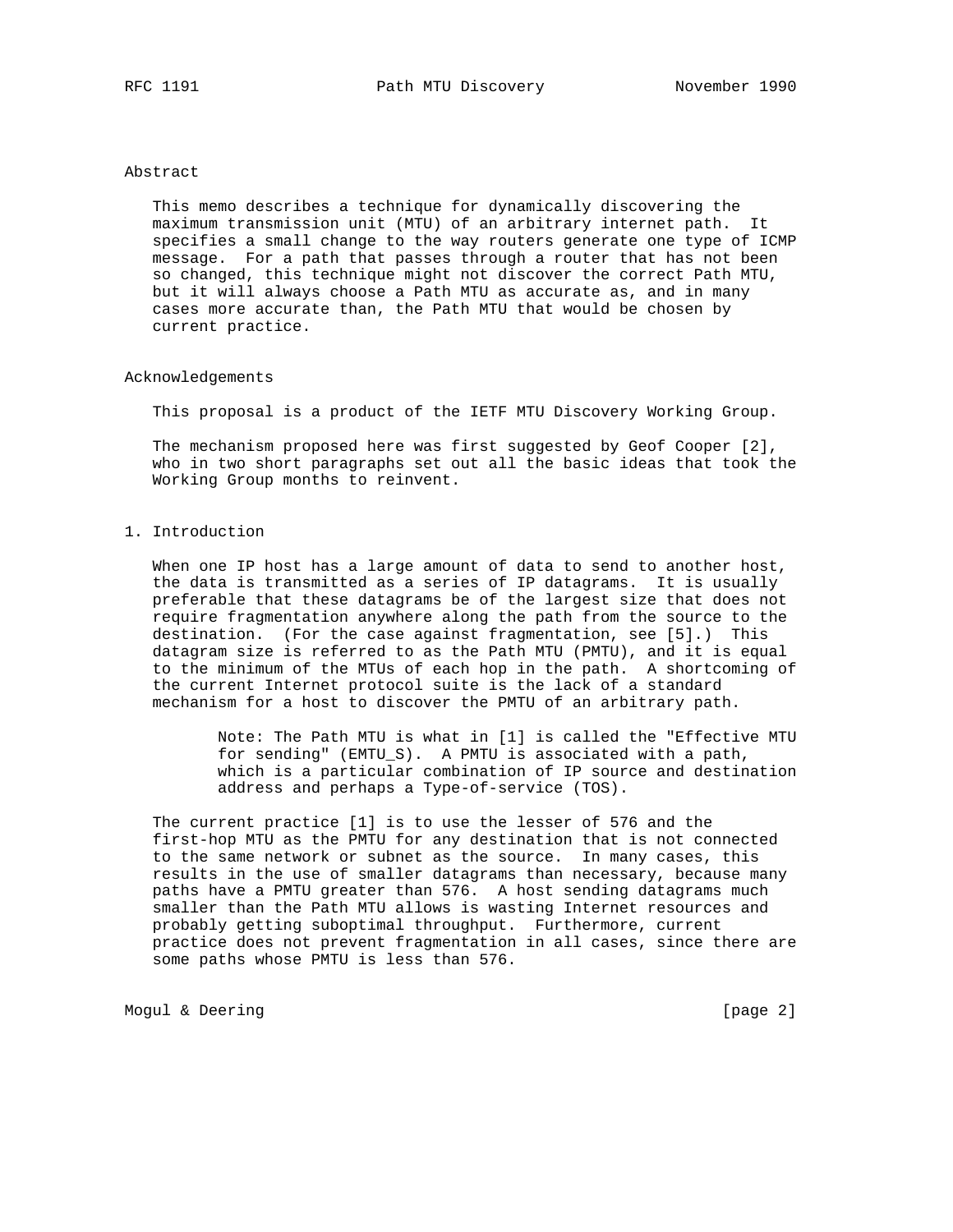## Abstract

 This memo describes a technique for dynamically discovering the maximum transmission unit (MTU) of an arbitrary internet path. It specifies a small change to the way routers generate one type of ICMP message. For a path that passes through a router that has not been so changed, this technique might not discover the correct Path MTU, but it will always choose a Path MTU as accurate as, and in many cases more accurate than, the Path MTU that would be chosen by current practice.

# Acknowledgements

This proposal is a product of the IETF MTU Discovery Working Group.

 The mechanism proposed here was first suggested by Geof Cooper [2], who in two short paragraphs set out all the basic ideas that took the Working Group months to reinvent.

# 1. Introduction

 When one IP host has a large amount of data to send to another host, the data is transmitted as a series of IP datagrams. It is usually preferable that these datagrams be of the largest size that does not require fragmentation anywhere along the path from the source to the destination. (For the case against fragmentation, see [5].) This datagram size is referred to as the Path MTU (PMTU), and it is equal to the minimum of the MTUs of each hop in the path. A shortcoming of the current Internet protocol suite is the lack of a standard mechanism for a host to discover the PMTU of an arbitrary path.

> Note: The Path MTU is what in [1] is called the "Effective MTU for sending" (EMTU\_S). A PMTU is associated with a path, which is a particular combination of IP source and destination address and perhaps a Type-of-service (TOS).

 The current practice [1] is to use the lesser of 576 and the first-hop MTU as the PMTU for any destination that is not connected to the same network or subnet as the source. In many cases, this results in the use of smaller datagrams than necessary, because many paths have a PMTU greater than 576. A host sending datagrams much smaller than the Path MTU allows is wasting Internet resources and probably getting suboptimal throughput. Furthermore, current practice does not prevent fragmentation in all cases, since there are some paths whose PMTU is less than 576.

Mogul & Deering [page 2]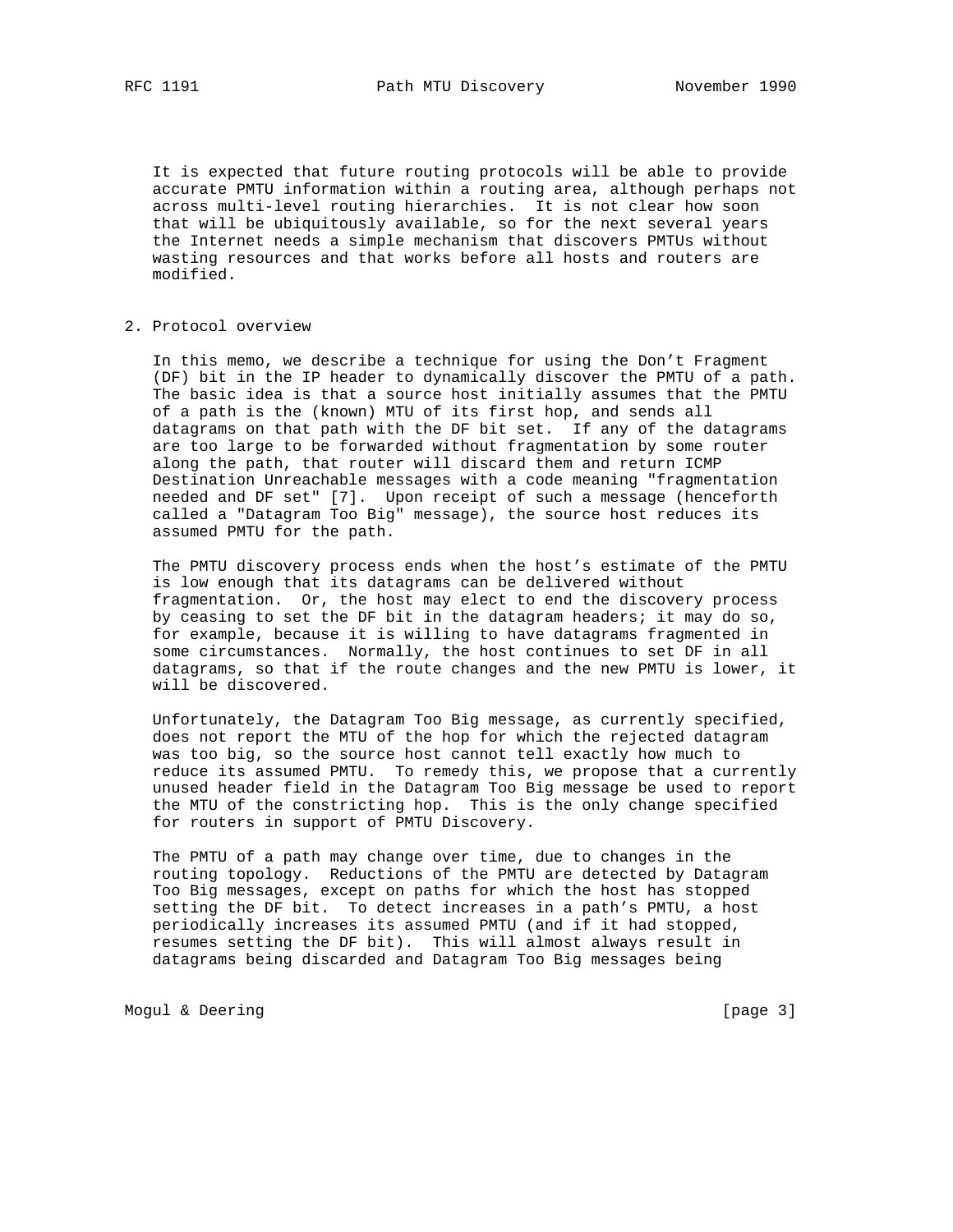It is expected that future routing protocols will be able to provide accurate PMTU information within a routing area, although perhaps not across multi-level routing hierarchies. It is not clear how soon that will be ubiquitously available, so for the next several years the Internet needs a simple mechanism that discovers PMTUs without wasting resources and that works before all hosts and routers are modified.

#### 2. Protocol overview

 In this memo, we describe a technique for using the Don't Fragment (DF) bit in the IP header to dynamically discover the PMTU of a path. The basic idea is that a source host initially assumes that the PMTU of a path is the (known) MTU of its first hop, and sends all datagrams on that path with the DF bit set. If any of the datagrams are too large to be forwarded without fragmentation by some router along the path, that router will discard them and return ICMP Destination Unreachable messages with a code meaning "fragmentation needed and DF set" [7]. Upon receipt of such a message (henceforth called a "Datagram Too Big" message), the source host reduces its assumed PMTU for the path.

 The PMTU discovery process ends when the host's estimate of the PMTU is low enough that its datagrams can be delivered without fragmentation. Or, the host may elect to end the discovery process by ceasing to set the DF bit in the datagram headers; it may do so, for example, because it is willing to have datagrams fragmented in some circumstances. Normally, the host continues to set DF in all datagrams, so that if the route changes and the new PMTU is lower, it will be discovered.

 Unfortunately, the Datagram Too Big message, as currently specified, does not report the MTU of the hop for which the rejected datagram was too big, so the source host cannot tell exactly how much to reduce its assumed PMTU. To remedy this, we propose that a currently unused header field in the Datagram Too Big message be used to report the MTU of the constricting hop. This is the only change specified for routers in support of PMTU Discovery.

 The PMTU of a path may change over time, due to changes in the routing topology. Reductions of the PMTU are detected by Datagram Too Big messages, except on paths for which the host has stopped setting the DF bit. To detect increases in a path's PMTU, a host periodically increases its assumed PMTU (and if it had stopped, resumes setting the DF bit). This will almost always result in datagrams being discarded and Datagram Too Big messages being

Mogul & Deering [page 3]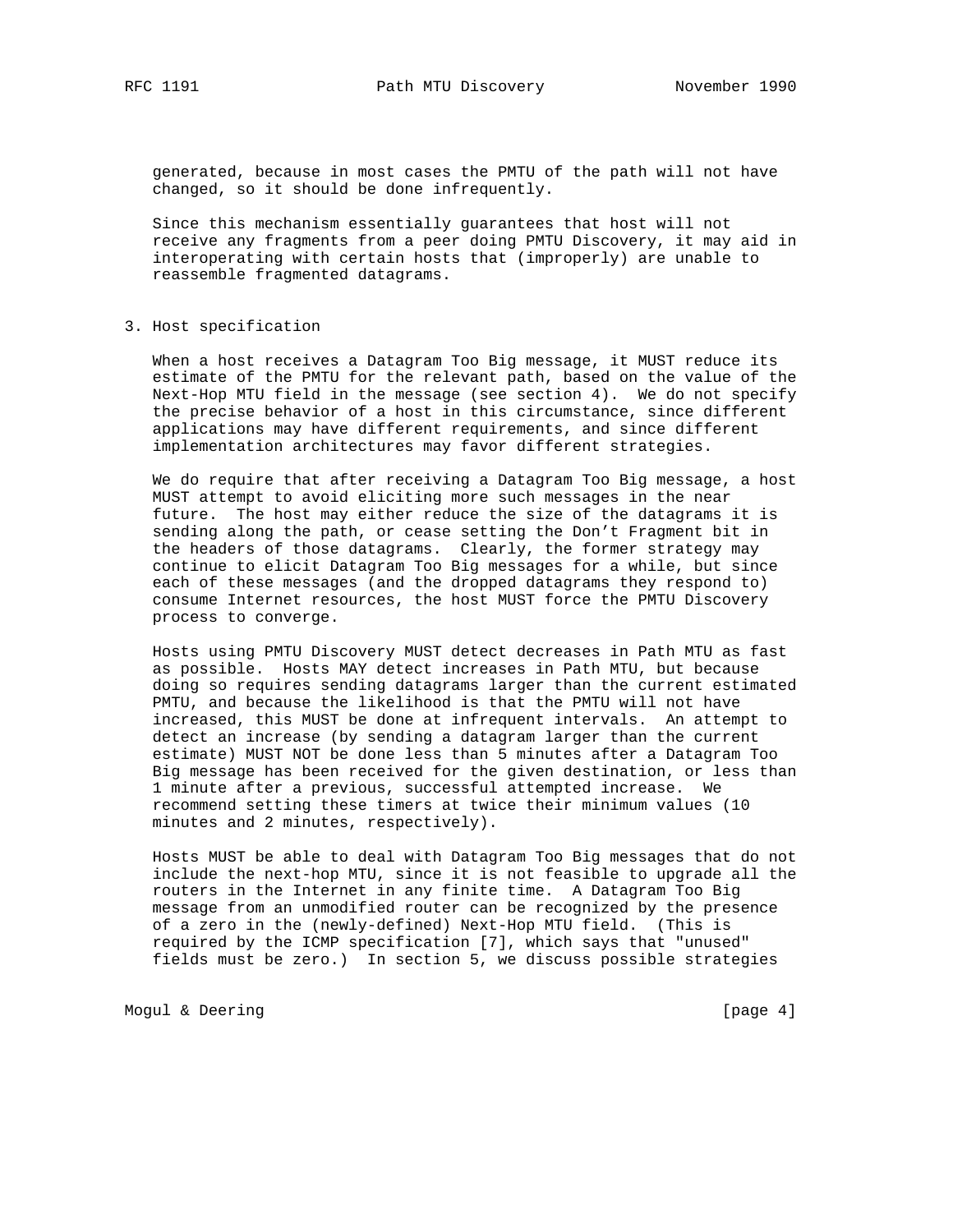RFC 1191 **Path MTU Discovery** November 1990

 generated, because in most cases the PMTU of the path will not have changed, so it should be done infrequently.

 Since this mechanism essentially guarantees that host will not receive any fragments from a peer doing PMTU Discovery, it may aid in interoperating with certain hosts that (improperly) are unable to reassemble fragmented datagrams.

### 3. Host specification

 When a host receives a Datagram Too Big message, it MUST reduce its estimate of the PMTU for the relevant path, based on the value of the Next-Hop MTU field in the message (see section 4). We do not specify the precise behavior of a host in this circumstance, since different applications may have different requirements, and since different implementation architectures may favor different strategies.

 We do require that after receiving a Datagram Too Big message, a host MUST attempt to avoid eliciting more such messages in the near future. The host may either reduce the size of the datagrams it is sending along the path, or cease setting the Don't Fragment bit in the headers of those datagrams. Clearly, the former strategy may continue to elicit Datagram Too Big messages for a while, but since each of these messages (and the dropped datagrams they respond to) consume Internet resources, the host MUST force the PMTU Discovery process to converge.

 Hosts using PMTU Discovery MUST detect decreases in Path MTU as fast as possible. Hosts MAY detect increases in Path MTU, but because doing so requires sending datagrams larger than the current estimated PMTU, and because the likelihood is that the PMTU will not have increased, this MUST be done at infrequent intervals. An attempt to detect an increase (by sending a datagram larger than the current estimate) MUST NOT be done less than 5 minutes after a Datagram Too Big message has been received for the given destination, or less than 1 minute after a previous, successful attempted increase. We recommend setting these timers at twice their minimum values (10 minutes and 2 minutes, respectively).

 Hosts MUST be able to deal with Datagram Too Big messages that do not include the next-hop MTU, since it is not feasible to upgrade all the routers in the Internet in any finite time. A Datagram Too Big message from an unmodified router can be recognized by the presence of a zero in the (newly-defined) Next-Hop MTU field. (This is required by the ICMP specification [7], which says that "unused" fields must be zero.) In section 5, we discuss possible strategies

Mogul & Deering [page 4]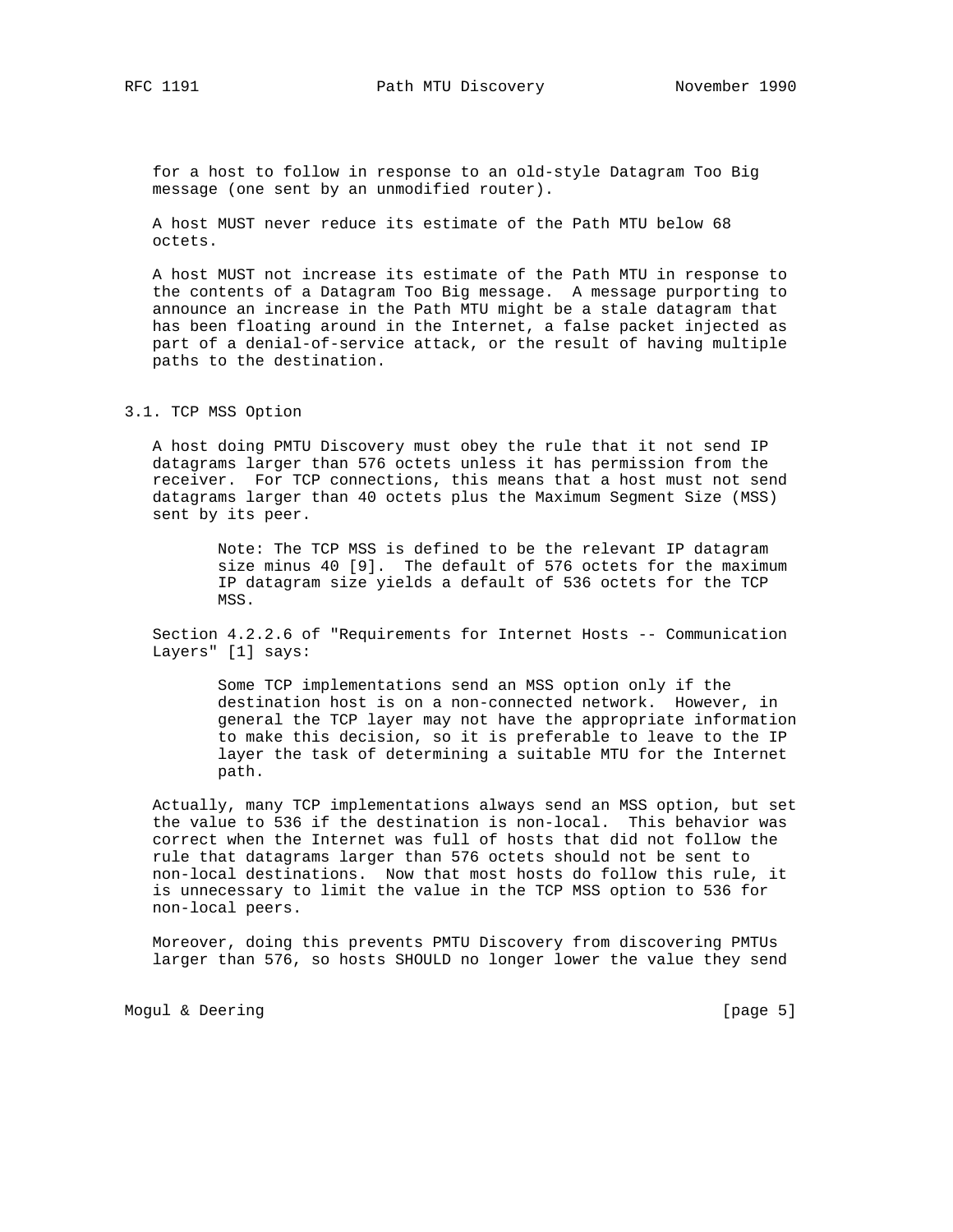RFC 1191 **Path MTU Discovery** November 1990

 for a host to follow in response to an old-style Datagram Too Big message (one sent by an unmodified router).

 A host MUST never reduce its estimate of the Path MTU below 68 octets.

 A host MUST not increase its estimate of the Path MTU in response to the contents of a Datagram Too Big message. A message purporting to announce an increase in the Path MTU might be a stale datagram that has been floating around in the Internet, a false packet injected as part of a denial-of-service attack, or the result of having multiple paths to the destination.

# 3.1. TCP MSS Option

 A host doing PMTU Discovery must obey the rule that it not send IP datagrams larger than 576 octets unless it has permission from the receiver. For TCP connections, this means that a host must not send datagrams larger than 40 octets plus the Maximum Segment Size (MSS) sent by its peer.

> Note: The TCP MSS is defined to be the relevant IP datagram size minus 40 [9]. The default of 576 octets for the maximum IP datagram size yields a default of 536 octets for the TCP MSS.

 Section 4.2.2.6 of "Requirements for Internet Hosts -- Communication Layers" [1] says:

> Some TCP implementations send an MSS option only if the destination host is on a non-connected network. However, in general the TCP layer may not have the appropriate information to make this decision, so it is preferable to leave to the IP layer the task of determining a suitable MTU for the Internet path.

 Actually, many TCP implementations always send an MSS option, but set the value to 536 if the destination is non-local. This behavior was correct when the Internet was full of hosts that did not follow the rule that datagrams larger than 576 octets should not be sent to non-local destinations. Now that most hosts do follow this rule, it is unnecessary to limit the value in the TCP MSS option to 536 for non-local peers.

 Moreover, doing this prevents PMTU Discovery from discovering PMTUs larger than 576, so hosts SHOULD no longer lower the value they send

Mogul & Deering [page 5]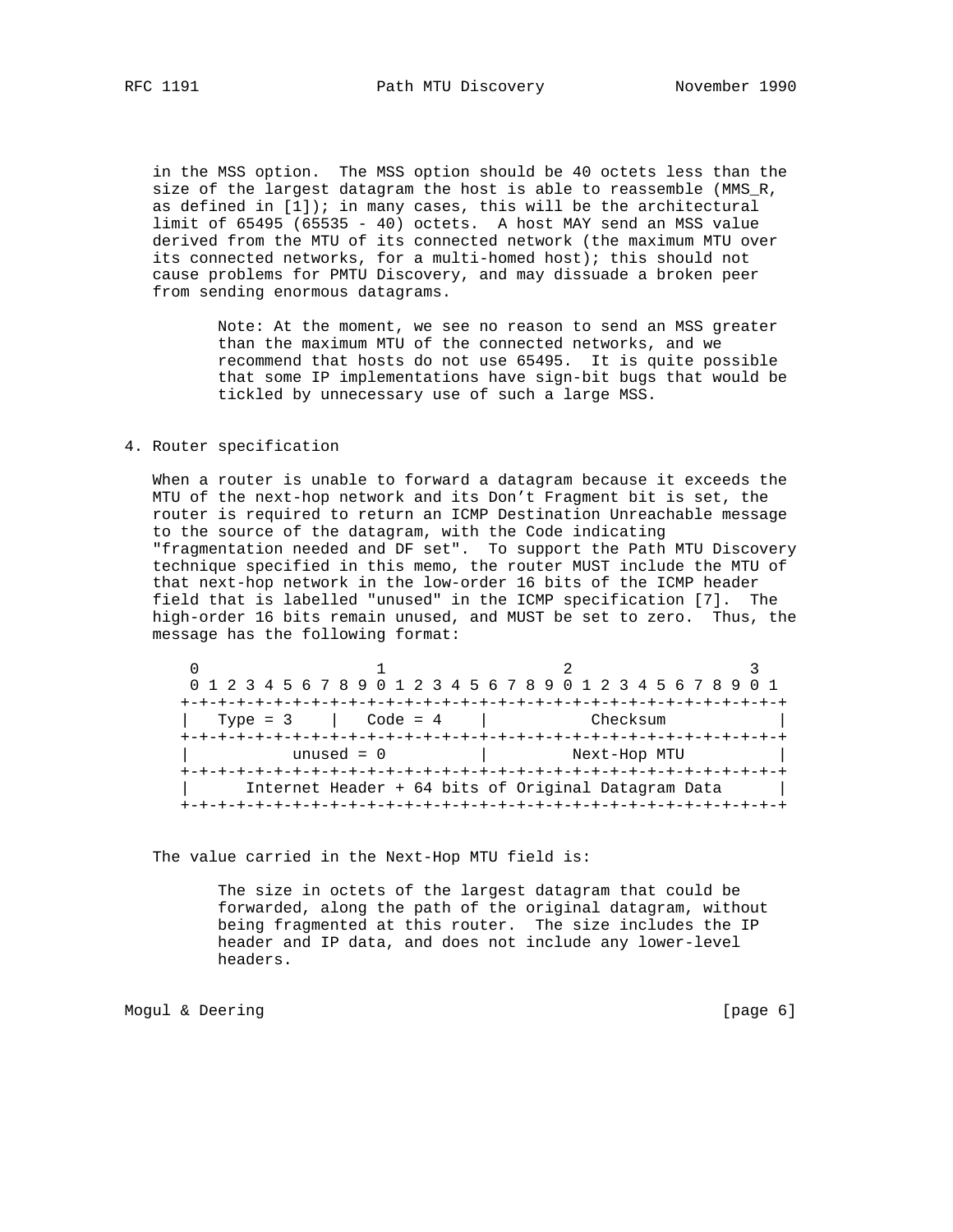in the MSS option. The MSS option should be 40 octets less than the size of the largest datagram the host is able to reassemble (MMS\_R, as defined in  $[1]$ ); in many cases, this will be the architectural limit of 65495 (65535 - 40) octets. A host MAY send an MSS value derived from the MTU of its connected network (the maximum MTU over its connected networks, for a multi-homed host); this should not cause problems for PMTU Discovery, and may dissuade a broken peer from sending enormous datagrams.

> Note: At the moment, we see no reason to send an MSS greater than the maximum MTU of the connected networks, and we recommend that hosts do not use 65495. It is quite possible that some IP implementations have sign-bit bugs that would be tickled by unnecessary use of such a large MSS.

# 4. Router specification

 When a router is unable to forward a datagram because it exceeds the MTU of the next-hop network and its Don't Fragment bit is set, the router is required to return an ICMP Destination Unreachable message to the source of the datagram, with the Code indicating "fragmentation needed and DF set". To support the Path MTU Discovery technique specified in this memo, the router MUST include the MTU of that next-hop network in the low-order 16 bits of the ICMP header field that is labelled "unused" in the ICMP specification [7]. The high-order 16 bits remain unused, and MUST be set to zero. Thus, the message has the following format:

|                                                     |              | 0 1 2 3 4 5 6 7 8 9 0 1 2 3 4 5 6 7 8 9 0 1 2 3 4 5 6 7 8 9 0 1 |  |  |  |  |  |
|-----------------------------------------------------|--------------|-----------------------------------------------------------------|--|--|--|--|--|
|                                                     |              | -+-+-+-+-+-+-+-+-+-+-+-+-+-+-+-+-+-+                            |  |  |  |  |  |
| Type = $3$                                          | Code = $4$   | Checksum                                                        |  |  |  |  |  |
|                                                     |              |                                                                 |  |  |  |  |  |
|                                                     | unused $= 0$ | Next-Hop MTU                                                    |  |  |  |  |  |
|                                                     |              |                                                                 |  |  |  |  |  |
| Internet Header + 64 bits of Original Datagram Data |              |                                                                 |  |  |  |  |  |
|                                                     |              |                                                                 |  |  |  |  |  |

The value carried in the Next-Hop MTU field is:

 The size in octets of the largest datagram that could be forwarded, along the path of the original datagram, without being fragmented at this router. The size includes the IP header and IP data, and does not include any lower-level headers.

Mogul & Deering **and Communication** [page 6]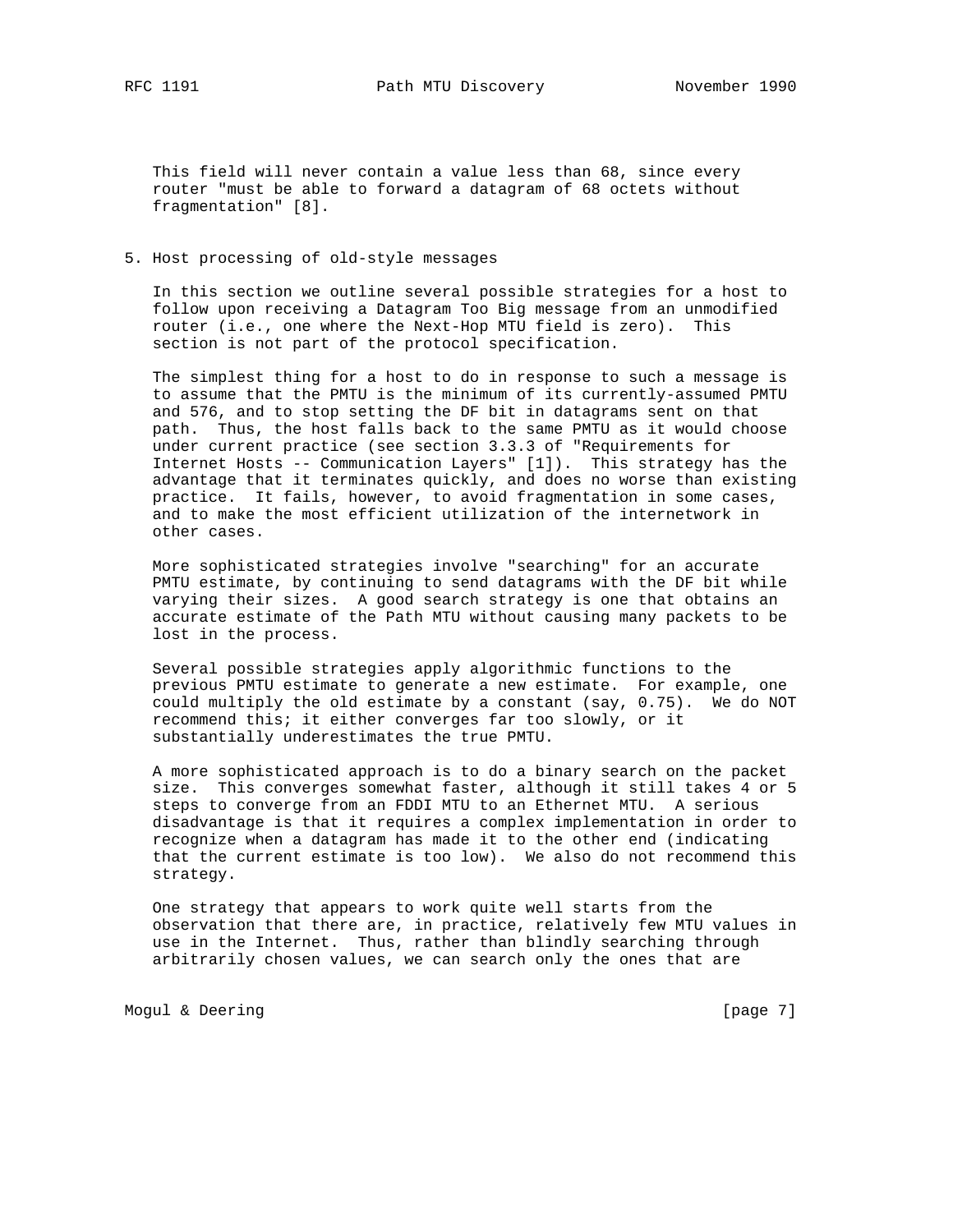RFC 1191 **Path MTU Discovery** November 1990

 This field will never contain a value less than 68, since every router "must be able to forward a datagram of 68 octets without fragmentation" [8].

## 5. Host processing of old-style messages

 In this section we outline several possible strategies for a host to follow upon receiving a Datagram Too Big message from an unmodified router (i.e., one where the Next-Hop MTU field is zero). This section is not part of the protocol specification.

 The simplest thing for a host to do in response to such a message is to assume that the PMTU is the minimum of its currently-assumed PMTU and 576, and to stop setting the DF bit in datagrams sent on that path. Thus, the host falls back to the same PMTU as it would choose under current practice (see section 3.3.3 of "Requirements for Internet Hosts -- Communication Layers" [1]). This strategy has the advantage that it terminates quickly, and does no worse than existing practice. It fails, however, to avoid fragmentation in some cases, and to make the most efficient utilization of the internetwork in other cases.

 More sophisticated strategies involve "searching" for an accurate PMTU estimate, by continuing to send datagrams with the DF bit while varying their sizes. A good search strategy is one that obtains an accurate estimate of the Path MTU without causing many packets to be lost in the process.

 Several possible strategies apply algorithmic functions to the previous PMTU estimate to generate a new estimate. For example, one could multiply the old estimate by a constant (say, 0.75). We do NOT recommend this; it either converges far too slowly, or it substantially underestimates the true PMTU.

 A more sophisticated approach is to do a binary search on the packet size. This converges somewhat faster, although it still takes 4 or 5 steps to converge from an FDDI MTU to an Ethernet MTU. A serious disadvantage is that it requires a complex implementation in order to recognize when a datagram has made it to the other end (indicating that the current estimate is too low). We also do not recommend this strategy.

 One strategy that appears to work quite well starts from the observation that there are, in practice, relatively few MTU values in use in the Internet. Thus, rather than blindly searching through arbitrarily chosen values, we can search only the ones that are

Mogul & Deering **and Communication** [page 7]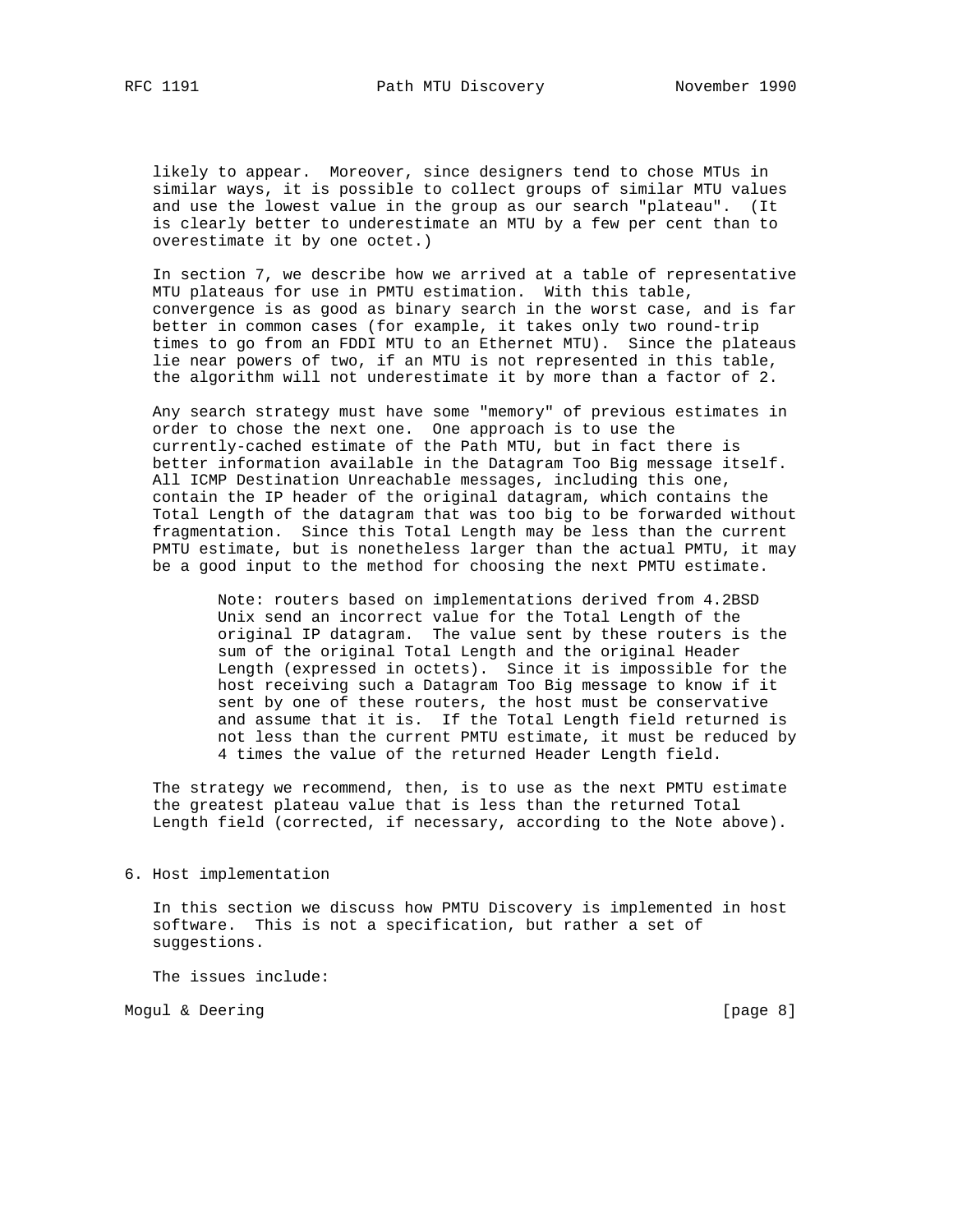likely to appear. Moreover, since designers tend to chose MTUs in similar ways, it is possible to collect groups of similar MTU values and use the lowest value in the group as our search "plateau". (It is clearly better to underestimate an MTU by a few per cent than to overestimate it by one octet.)

 In section 7, we describe how we arrived at a table of representative MTU plateaus for use in PMTU estimation. With this table, convergence is as good as binary search in the worst case, and is far better in common cases (for example, it takes only two round-trip times to go from an FDDI MTU to an Ethernet MTU). Since the plateaus lie near powers of two, if an MTU is not represented in this table, the algorithm will not underestimate it by more than a factor of 2.

 Any search strategy must have some "memory" of previous estimates in order to chose the next one. One approach is to use the currently-cached estimate of the Path MTU, but in fact there is better information available in the Datagram Too Big message itself. All ICMP Destination Unreachable messages, including this one, contain the IP header of the original datagram, which contains the Total Length of the datagram that was too big to be forwarded without fragmentation. Since this Total Length may be less than the current PMTU estimate, but is nonetheless larger than the actual PMTU, it may be a good input to the method for choosing the next PMTU estimate.

> Note: routers based on implementations derived from 4.2BSD Unix send an incorrect value for the Total Length of the original IP datagram. The value sent by these routers is the sum of the original Total Length and the original Header Length (expressed in octets). Since it is impossible for the host receiving such a Datagram Too Big message to know if it sent by one of these routers, the host must be conservative and assume that it is. If the Total Length field returned is not less than the current PMTU estimate, it must be reduced by 4 times the value of the returned Header Length field.

 The strategy we recommend, then, is to use as the next PMTU estimate the greatest plateau value that is less than the returned Total Length field (corrected, if necessary, according to the Note above).

6. Host implementation

 In this section we discuss how PMTU Discovery is implemented in host software. This is not a specification, but rather a set of suggestions.

The issues include:

Mogul & Deering **and Communication** control of the set of the set of the set of the set of the set of the set of the set of the set of the set of the set of the set of the set of the set of the set of the set of the set of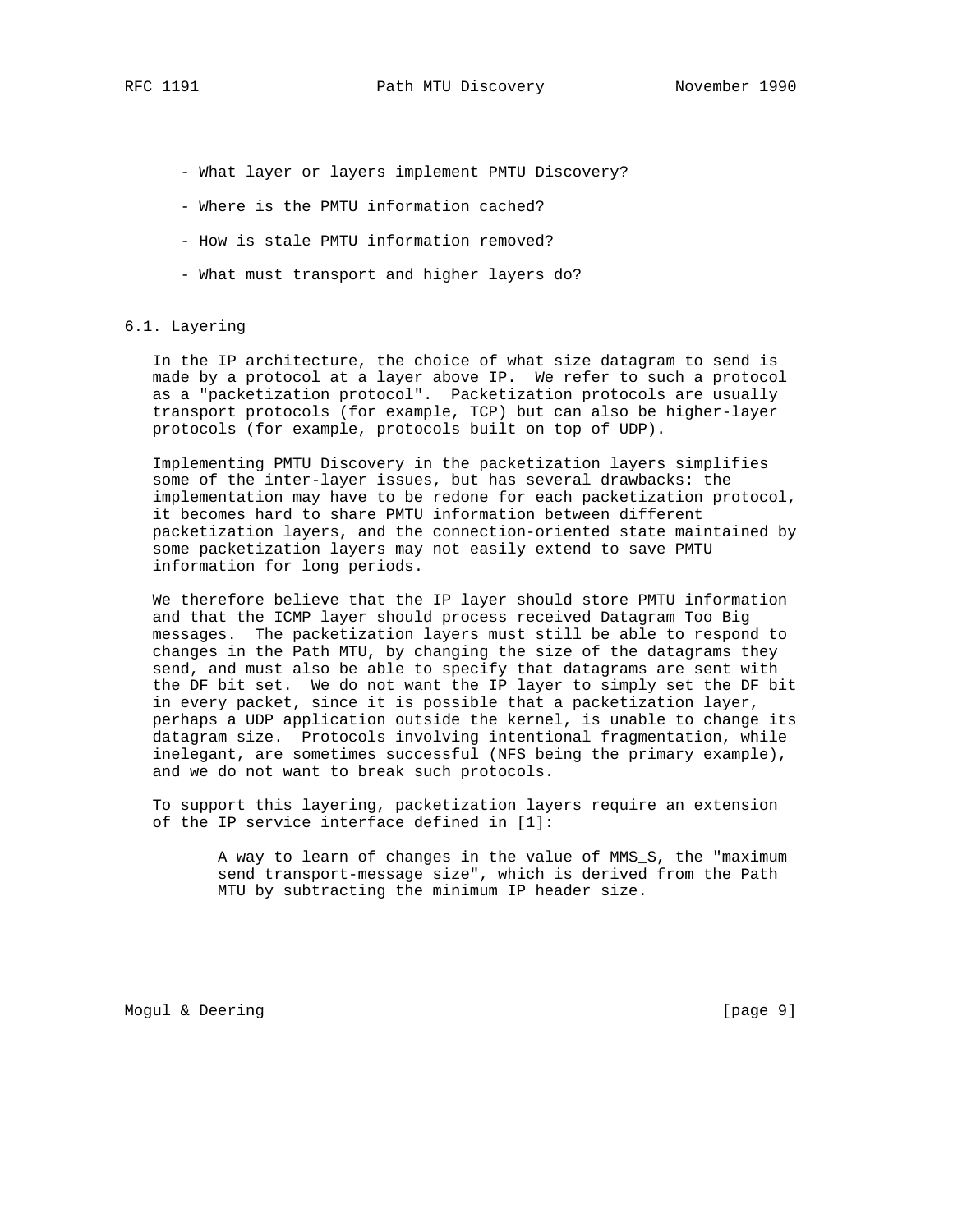- What layer or layers implement PMTU Discovery?
- Where is the PMTU information cached?
- How is stale PMTU information removed?
- What must transport and higher layers do?

## 6.1. Layering

 In the IP architecture, the choice of what size datagram to send is made by a protocol at a layer above IP. We refer to such a protocol as a "packetization protocol". Packetization protocols are usually transport protocols (for example, TCP) but can also be higher-layer protocols (for example, protocols built on top of UDP).

 Implementing PMTU Discovery in the packetization layers simplifies some of the inter-layer issues, but has several drawbacks: the implementation may have to be redone for each packetization protocol, it becomes hard to share PMTU information between different packetization layers, and the connection-oriented state maintained by some packetization layers may not easily extend to save PMTU information for long periods.

 We therefore believe that the IP layer should store PMTU information and that the ICMP layer should process received Datagram Too Big messages. The packetization layers must still be able to respond to changes in the Path MTU, by changing the size of the datagrams they send, and must also be able to specify that datagrams are sent with the DF bit set. We do not want the IP layer to simply set the DF bit in every packet, since it is possible that a packetization layer, perhaps a UDP application outside the kernel, is unable to change its datagram size. Protocols involving intentional fragmentation, while inelegant, are sometimes successful (NFS being the primary example), and we do not want to break such protocols.

 To support this layering, packetization layers require an extension of the IP service interface defined in [1]:

> A way to learn of changes in the value of MMS\_S, the "maximum send transport-message size", which is derived from the Path MTU by subtracting the minimum IP header size.

Mogul & Deering **contains the contact of the contact of the contact of the contact of the contact of the contact of the contact of the contact of the contact of the contact of the contact of the contact of the contact of t**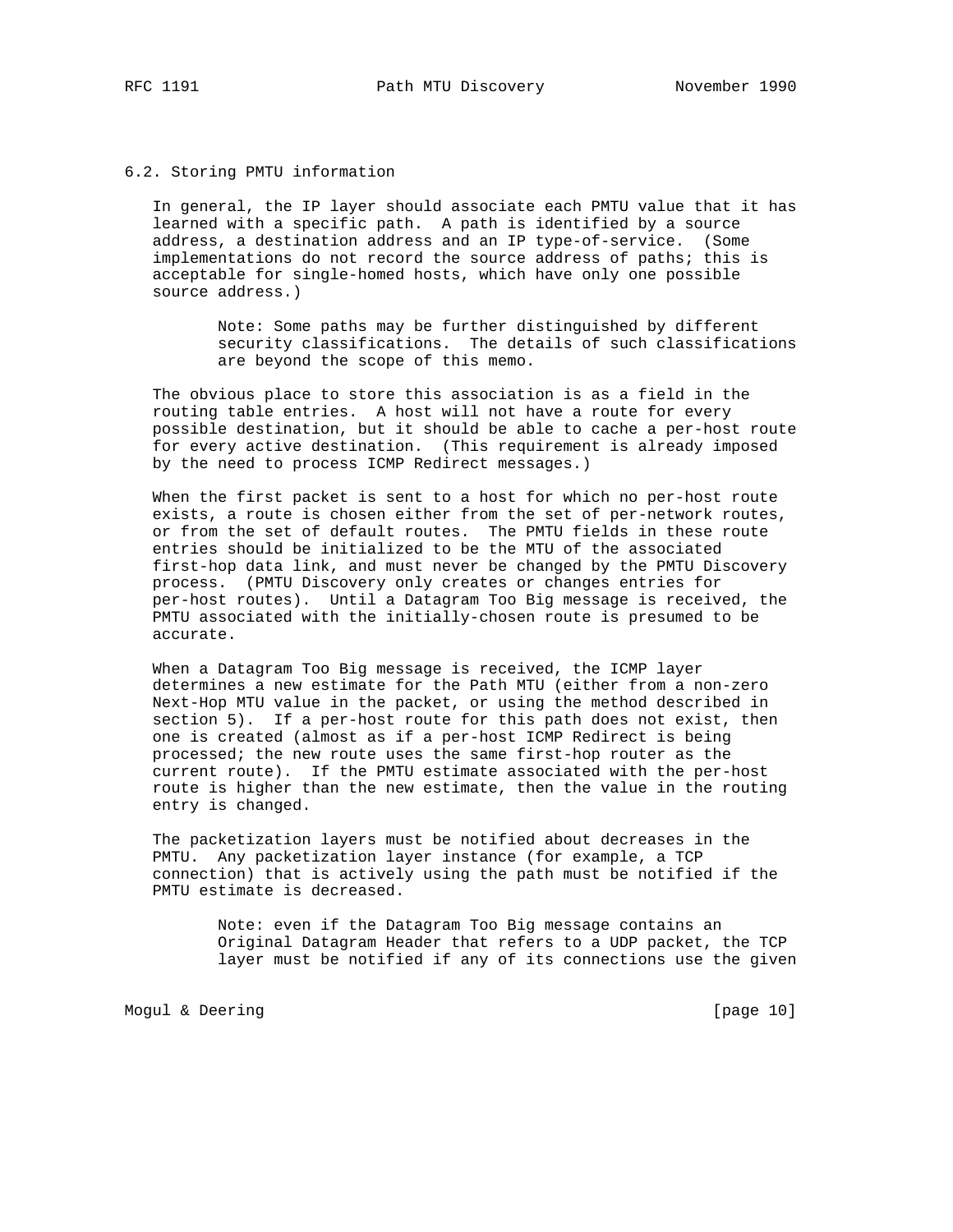### 6.2. Storing PMTU information

 In general, the IP layer should associate each PMTU value that it has learned with a specific path. A path is identified by a source address, a destination address and an IP type-of-service. (Some implementations do not record the source address of paths; this is acceptable for single-homed hosts, which have only one possible source address.)

> Note: Some paths may be further distinguished by different security classifications. The details of such classifications are beyond the scope of this memo.

 The obvious place to store this association is as a field in the routing table entries. A host will not have a route for every possible destination, but it should be able to cache a per-host route for every active destination. (This requirement is already imposed by the need to process ICMP Redirect messages.)

 When the first packet is sent to a host for which no per-host route exists, a route is chosen either from the set of per-network routes, or from the set of default routes. The PMTU fields in these route entries should be initialized to be the MTU of the associated first-hop data link, and must never be changed by the PMTU Discovery process. (PMTU Discovery only creates or changes entries for per-host routes). Until a Datagram Too Big message is received, the PMTU associated with the initially-chosen route is presumed to be accurate.

 When a Datagram Too Big message is received, the ICMP layer determines a new estimate for the Path MTU (either from a non-zero Next-Hop MTU value in the packet, or using the method described in section 5). If a per-host route for this path does not exist, then one is created (almost as if a per-host ICMP Redirect is being processed; the new route uses the same first-hop router as the current route). If the PMTU estimate associated with the per-host route is higher than the new estimate, then the value in the routing entry is changed.

 The packetization layers must be notified about decreases in the PMTU. Any packetization layer instance (for example, a TCP connection) that is actively using the path must be notified if the PMTU estimate is decreased.

> Note: even if the Datagram Too Big message contains an Original Datagram Header that refers to a UDP packet, the TCP layer must be notified if any of its connections use the given

Mogul & Deering [page 10]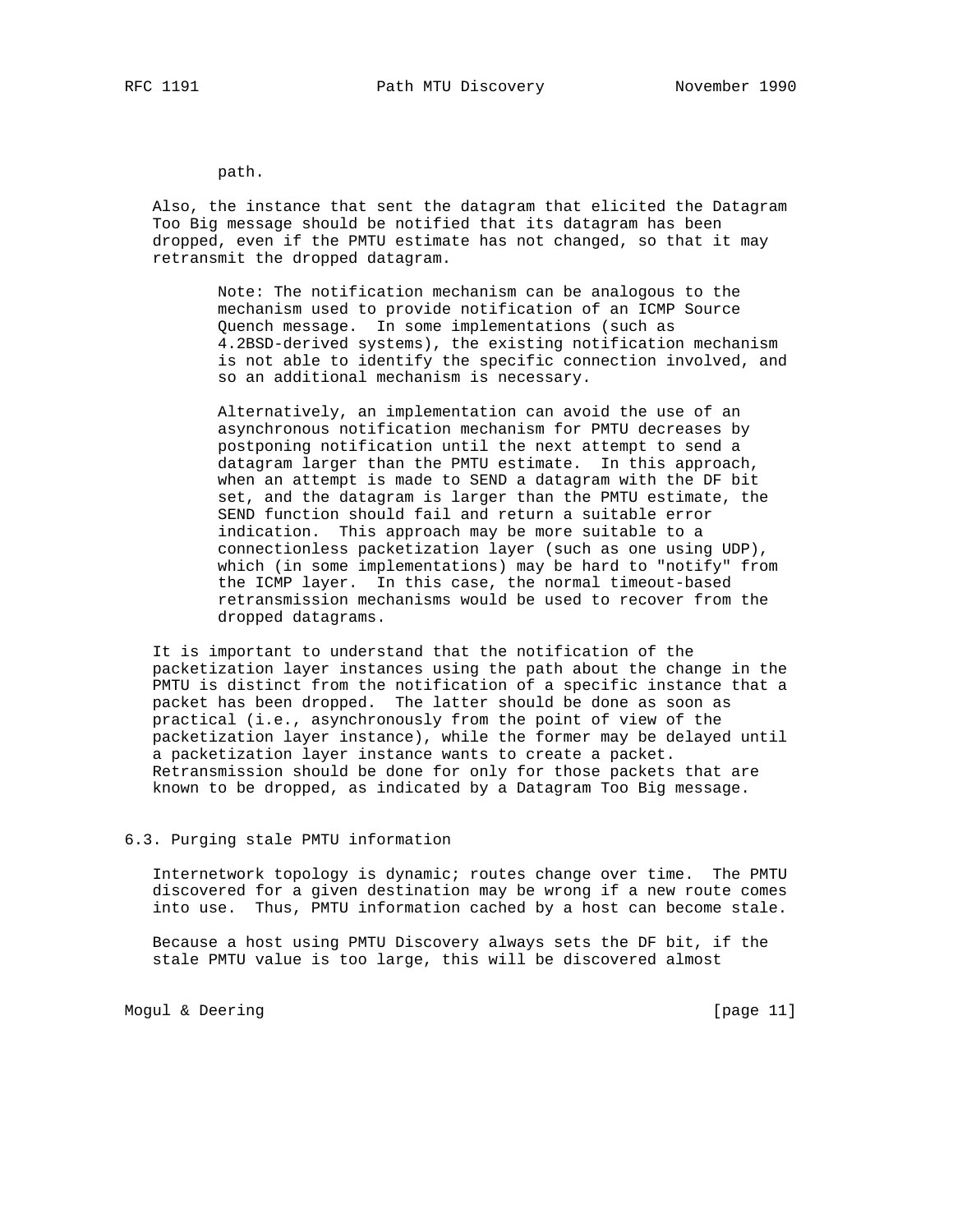path.

 Also, the instance that sent the datagram that elicited the Datagram Too Big message should be notified that its datagram has been dropped, even if the PMTU estimate has not changed, so that it may retransmit the dropped datagram.

> Note: The notification mechanism can be analogous to the mechanism used to provide notification of an ICMP Source Quench message. In some implementations (such as 4.2BSD-derived systems), the existing notification mechanism is not able to identify the specific connection involved, and so an additional mechanism is necessary.

 Alternatively, an implementation can avoid the use of an asynchronous notification mechanism for PMTU decreases by postponing notification until the next attempt to send a datagram larger than the PMTU estimate. In this approach, when an attempt is made to SEND a datagram with the DF bit set, and the datagram is larger than the PMTU estimate, the SEND function should fail and return a suitable error indication. This approach may be more suitable to a connectionless packetization layer (such as one using UDP), which (in some implementations) may be hard to "notify" from the ICMP layer. In this case, the normal timeout-based retransmission mechanisms would be used to recover from the dropped datagrams.

 It is important to understand that the notification of the packetization layer instances using the path about the change in the PMTU is distinct from the notification of a specific instance that a packet has been dropped. The latter should be done as soon as practical (i.e., asynchronously from the point of view of the packetization layer instance), while the former may be delayed until a packetization layer instance wants to create a packet. Retransmission should be done for only for those packets that are known to be dropped, as indicated by a Datagram Too Big message.

# 6.3. Purging stale PMTU information

 Internetwork topology is dynamic; routes change over time. The PMTU discovered for a given destination may be wrong if a new route comes into use. Thus, PMTU information cached by a host can become stale.

 Because a host using PMTU Discovery always sets the DF bit, if the stale PMTU value is too large, this will be discovered almost

Mogul & Deering [page 11]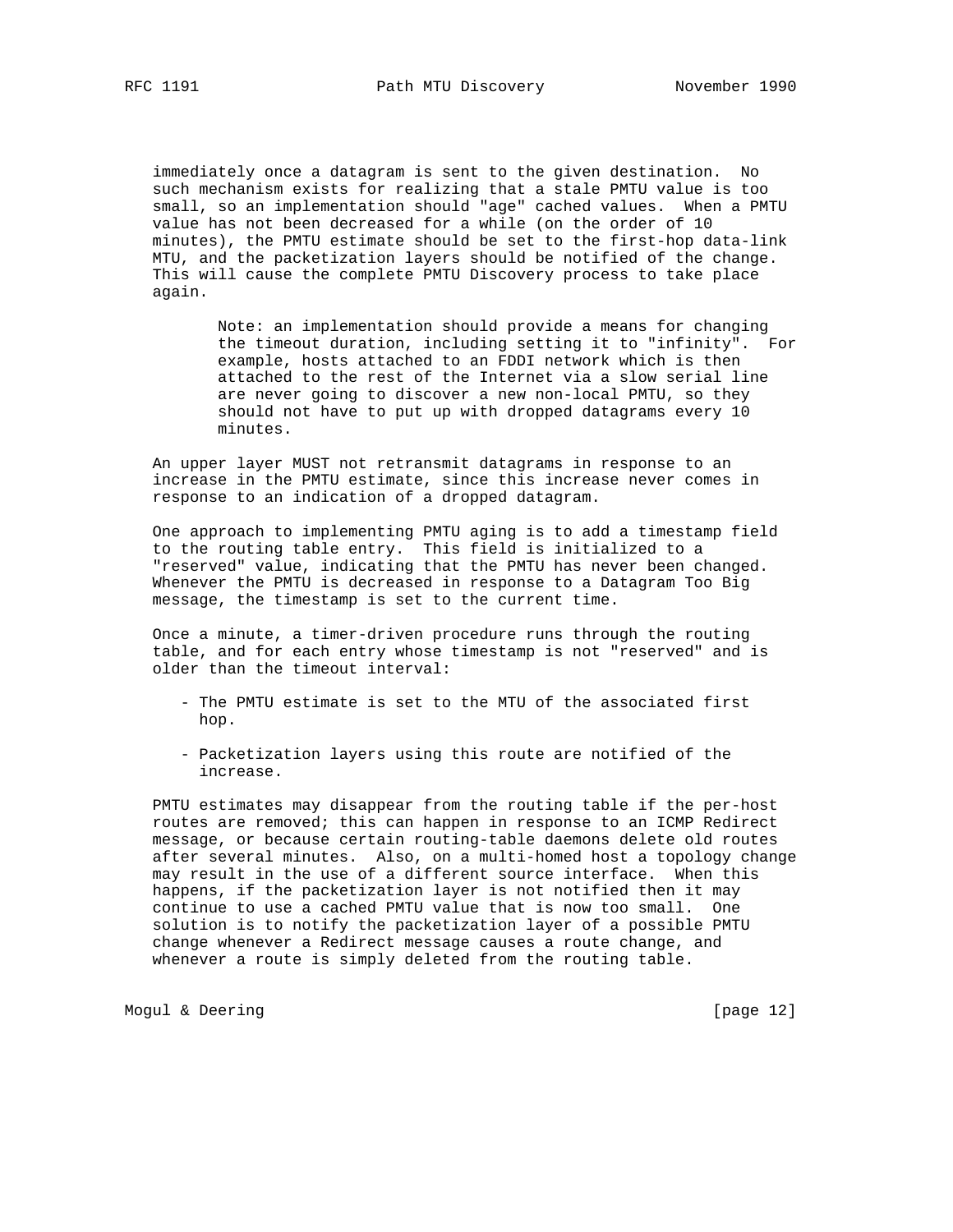immediately once a datagram is sent to the given destination. No such mechanism exists for realizing that a stale PMTU value is too small, so an implementation should "age" cached values. When a PMTU value has not been decreased for a while (on the order of 10 minutes), the PMTU estimate should be set to the first-hop data-link MTU, and the packetization layers should be notified of the change. This will cause the complete PMTU Discovery process to take place again.

> Note: an implementation should provide a means for changing the timeout duration, including setting it to "infinity". For example, hosts attached to an FDDI network which is then attached to the rest of the Internet via a slow serial line are never going to discover a new non-local PMTU, so they should not have to put up with dropped datagrams every 10 minutes.

 An upper layer MUST not retransmit datagrams in response to an increase in the PMTU estimate, since this increase never comes in response to an indication of a dropped datagram.

 One approach to implementing PMTU aging is to add a timestamp field to the routing table entry. This field is initialized to a "reserved" value, indicating that the PMTU has never been changed. Whenever the PMTU is decreased in response to a Datagram Too Big message, the timestamp is set to the current time.

 Once a minute, a timer-driven procedure runs through the routing table, and for each entry whose timestamp is not "reserved" and is older than the timeout interval:

- The PMTU estimate is set to the MTU of the associated first hop.
- Packetization layers using this route are notified of the increase.

 PMTU estimates may disappear from the routing table if the per-host routes are removed; this can happen in response to an ICMP Redirect message, or because certain routing-table daemons delete old routes after several minutes. Also, on a multi-homed host a topology change may result in the use of a different source interface. When this happens, if the packetization layer is not notified then it may continue to use a cached PMTU value that is now too small. One solution is to notify the packetization layer of a possible PMTU change whenever a Redirect message causes a route change, and whenever a route is simply deleted from the routing table.

Mogul & Deering [page 12]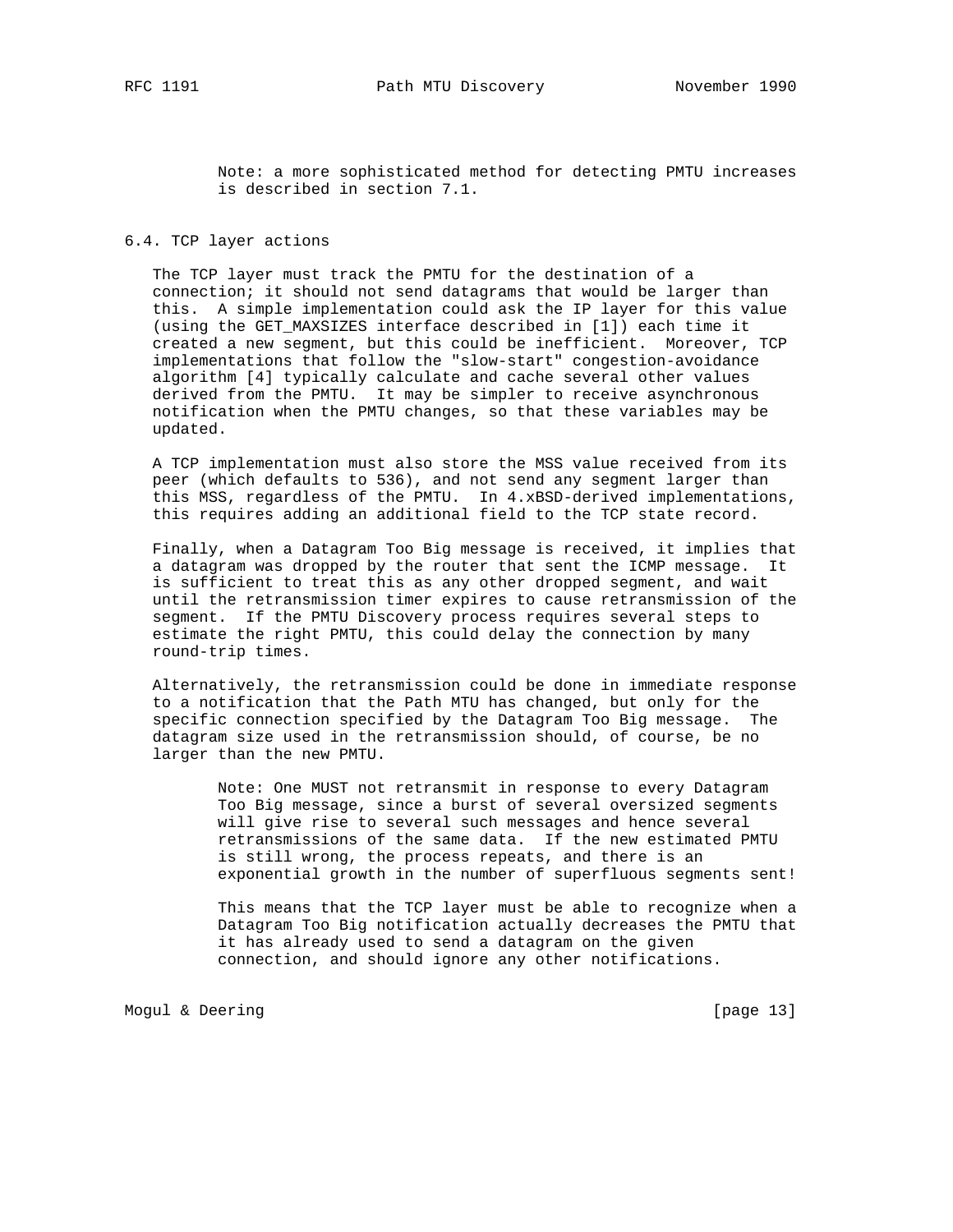Note: a more sophisticated method for detecting PMTU increases is described in section 7.1.

## 6.4. TCP layer actions

 The TCP layer must track the PMTU for the destination of a connection; it should not send datagrams that would be larger than this. A simple implementation could ask the IP layer for this value (using the GET MAXSIZES interface described in [1]) each time it created a new segment, but this could be inefficient. Moreover, TCP implementations that follow the "slow-start" congestion-avoidance algorithm [4] typically calculate and cache several other values derived from the PMTU. It may be simpler to receive asynchronous notification when the PMTU changes, so that these variables may be updated.

 A TCP implementation must also store the MSS value received from its peer (which defaults to 536), and not send any segment larger than this MSS, regardless of the PMTU. In 4.xBSD-derived implementations, this requires adding an additional field to the TCP state record.

 Finally, when a Datagram Too Big message is received, it implies that a datagram was dropped by the router that sent the ICMP message. It is sufficient to treat this as any other dropped segment, and wait until the retransmission timer expires to cause retransmission of the segment. If the PMTU Discovery process requires several steps to estimate the right PMTU, this could delay the connection by many round-trip times.

 Alternatively, the retransmission could be done in immediate response to a notification that the Path MTU has changed, but only for the specific connection specified by the Datagram Too Big message. The datagram size used in the retransmission should, of course, be no larger than the new PMTU.

> Note: One MUST not retransmit in response to every Datagram Too Big message, since a burst of several oversized segments will give rise to several such messages and hence several retransmissions of the same data. If the new estimated PMTU is still wrong, the process repeats, and there is an exponential growth in the number of superfluous segments sent!

> This means that the TCP layer must be able to recognize when a Datagram Too Big notification actually decreases the PMTU that it has already used to send a datagram on the given connection, and should ignore any other notifications.

Mogul & Deering [page 13]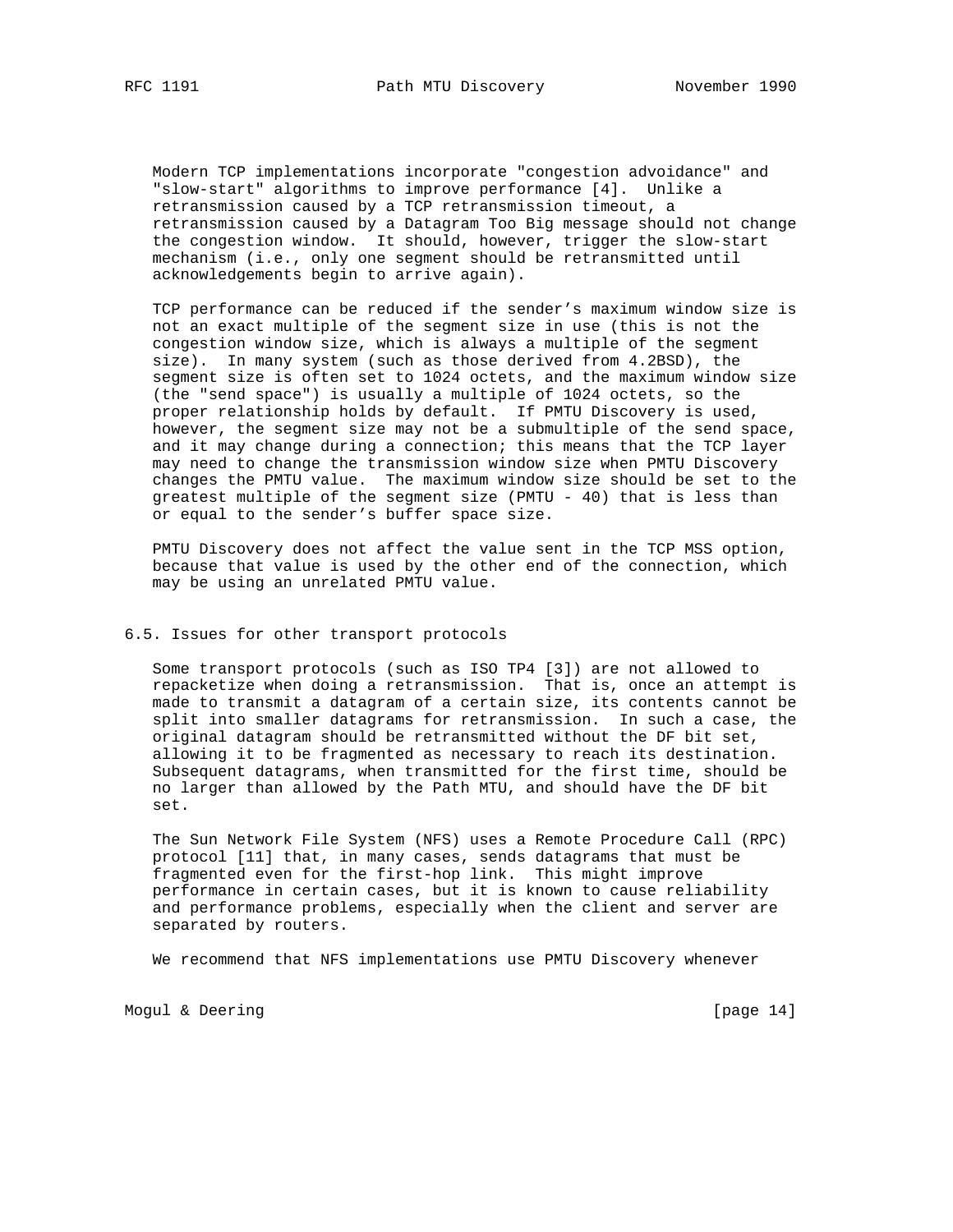Modern TCP implementations incorporate "congestion advoidance" and "slow-start" algorithms to improve performance [4]. Unlike a retransmission caused by a TCP retransmission timeout, a retransmission caused by a Datagram Too Big message should not change the congestion window. It should, however, trigger the slow-start mechanism (i.e., only one segment should be retransmitted until acknowledgements begin to arrive again).

 TCP performance can be reduced if the sender's maximum window size is not an exact multiple of the segment size in use (this is not the congestion window size, which is always a multiple of the segment size). In many system (such as those derived from 4.2BSD), the segment size is often set to 1024 octets, and the maximum window size (the "send space") is usually a multiple of 1024 octets, so the proper relationship holds by default. If PMTU Discovery is used, however, the segment size may not be a submultiple of the send space, and it may change during a connection; this means that the TCP layer may need to change the transmission window size when PMTU Discovery changes the PMTU value. The maximum window size should be set to the greatest multiple of the segment size (PMTU - 40) that is less than or equal to the sender's buffer space size.

 PMTU Discovery does not affect the value sent in the TCP MSS option, because that value is used by the other end of the connection, which may be using an unrelated PMTU value.

# 6.5. Issues for other transport protocols

 Some transport protocols (such as ISO TP4 [3]) are not allowed to repacketize when doing a retransmission. That is, once an attempt is made to transmit a datagram of a certain size, its contents cannot be split into smaller datagrams for retransmission. In such a case, the original datagram should be retransmitted without the DF bit set, allowing it to be fragmented as necessary to reach its destination. Subsequent datagrams, when transmitted for the first time, should be no larger than allowed by the Path MTU, and should have the DF bit set.

 The Sun Network File System (NFS) uses a Remote Procedure Call (RPC) protocol [11] that, in many cases, sends datagrams that must be fragmented even for the first-hop link. This might improve performance in certain cases, but it is known to cause reliability and performance problems, especially when the client and server are separated by routers.

We recommend that NFS implementations use PMTU Discovery whenever

Mogul & Deering [page 14]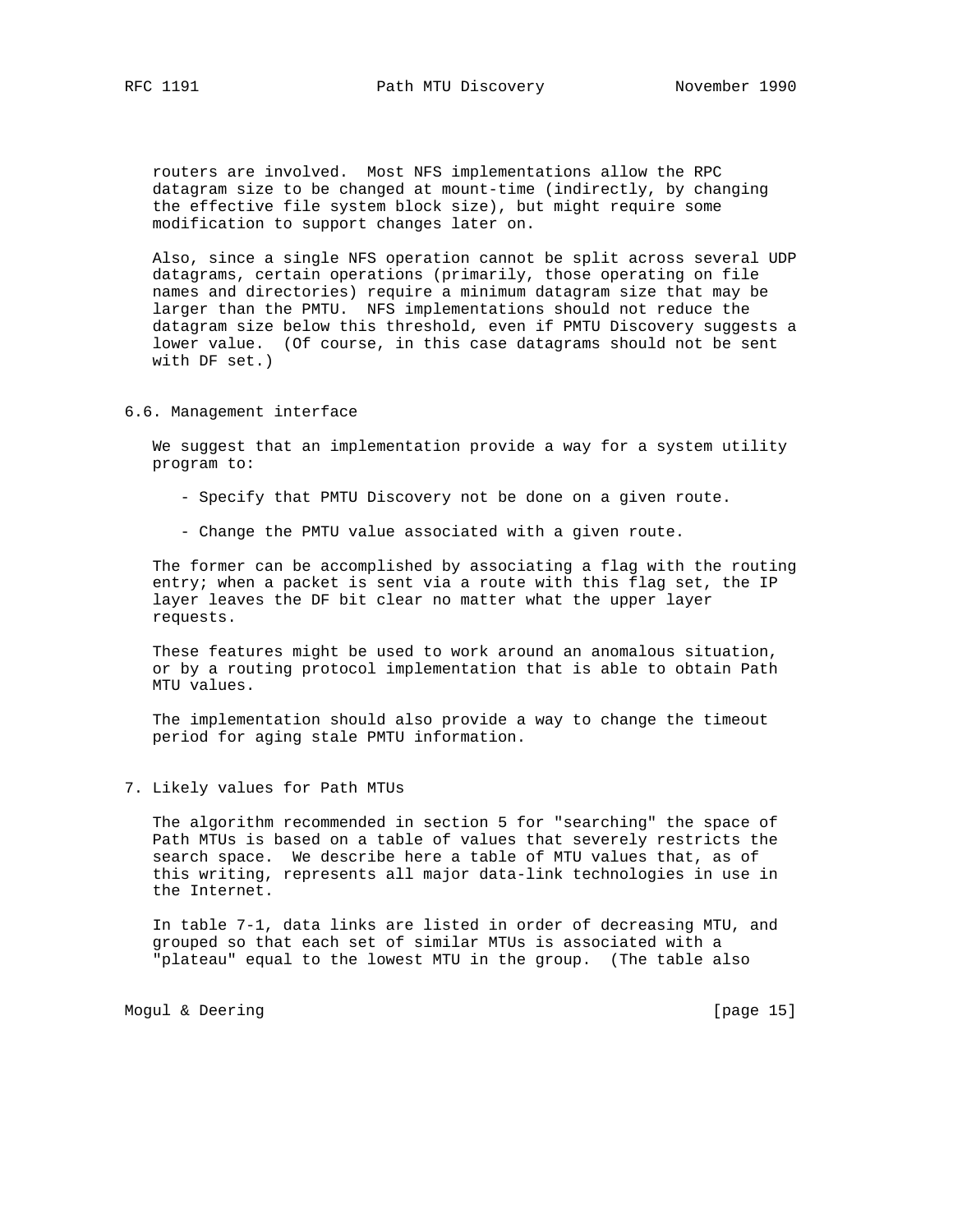routers are involved. Most NFS implementations allow the RPC datagram size to be changed at mount-time (indirectly, by changing the effective file system block size), but might require some modification to support changes later on.

 Also, since a single NFS operation cannot be split across several UDP datagrams, certain operations (primarily, those operating on file names and directories) require a minimum datagram size that may be larger than the PMTU. NFS implementations should not reduce the datagram size below this threshold, even if PMTU Discovery suggests a lower value. (Of course, in this case datagrams should not be sent with DF set.)

## 6.6. Management interface

 We suggest that an implementation provide a way for a system utility program to:

- Specify that PMTU Discovery not be done on a given route.
- Change the PMTU value associated with a given route.

 The former can be accomplished by associating a flag with the routing entry; when a packet is sent via a route with this flag set, the IP layer leaves the DF bit clear no matter what the upper layer requests.

 These features might be used to work around an anomalous situation, or by a routing protocol implementation that is able to obtain Path MTU values.

 The implementation should also provide a way to change the timeout period for aging stale PMTU information.

# 7. Likely values for Path MTUs

 The algorithm recommended in section 5 for "searching" the space of Path MTUs is based on a table of values that severely restricts the search space. We describe here a table of MTU values that, as of this writing, represents all major data-link technologies in use in the Internet.

 In table 7-1, data links are listed in order of decreasing MTU, and grouped so that each set of similar MTUs is associated with a "plateau" equal to the lowest MTU in the group. (The table also

Mogul & Deering [page 15]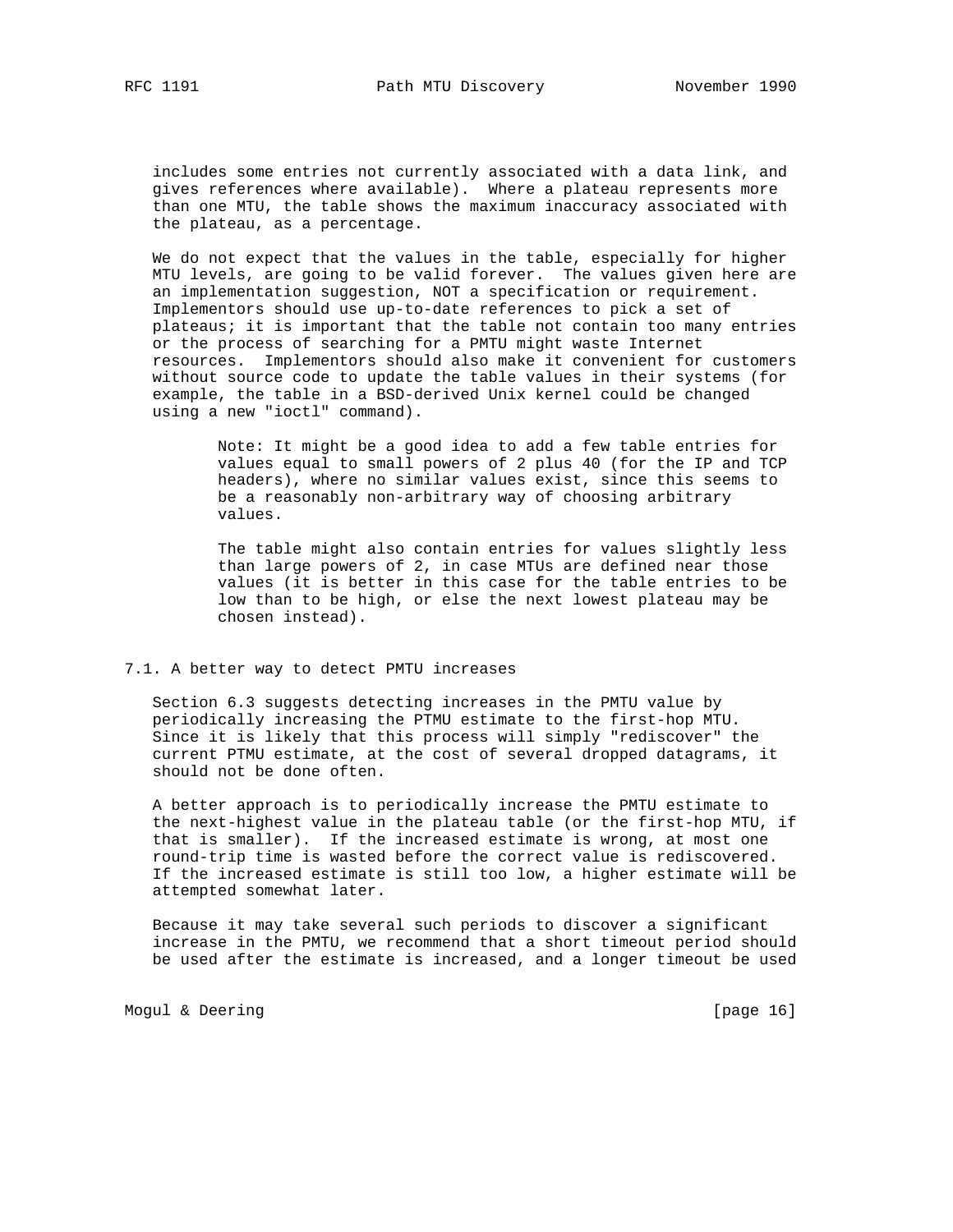includes some entries not currently associated with a data link, and gives references where available). Where a plateau represents more than one MTU, the table shows the maximum inaccuracy associated with the plateau, as a percentage.

 We do not expect that the values in the table, especially for higher MTU levels, are going to be valid forever. The values given here are an implementation suggestion, NOT a specification or requirement. Implementors should use up-to-date references to pick a set of plateaus; it is important that the table not contain too many entries or the process of searching for a PMTU might waste Internet resources. Implementors should also make it convenient for customers without source code to update the table values in their systems (for example, the table in a BSD-derived Unix kernel could be changed using a new "ioctl" command).

> Note: It might be a good idea to add a few table entries for values equal to small powers of 2 plus 40 (for the IP and TCP headers), where no similar values exist, since this seems to be a reasonably non-arbitrary way of choosing arbitrary values.

> The table might also contain entries for values slightly less than large powers of 2, in case MTUs are defined near those values (it is better in this case for the table entries to be low than to be high, or else the next lowest plateau may be chosen instead).

#### 7.1. A better way to detect PMTU increases

 Section 6.3 suggests detecting increases in the PMTU value by periodically increasing the PTMU estimate to the first-hop MTU. Since it is likely that this process will simply "rediscover" the current PTMU estimate, at the cost of several dropped datagrams, it should not be done often.

 A better approach is to periodically increase the PMTU estimate to the next-highest value in the plateau table (or the first-hop MTU, if that is smaller). If the increased estimate is wrong, at most one round-trip time is wasted before the correct value is rediscovered. If the increased estimate is still too low, a higher estimate will be attempted somewhat later.

 Because it may take several such periods to discover a significant increase in the PMTU, we recommend that a short timeout period should be used after the estimate is increased, and a longer timeout be used

Mogul & Deering [page 16]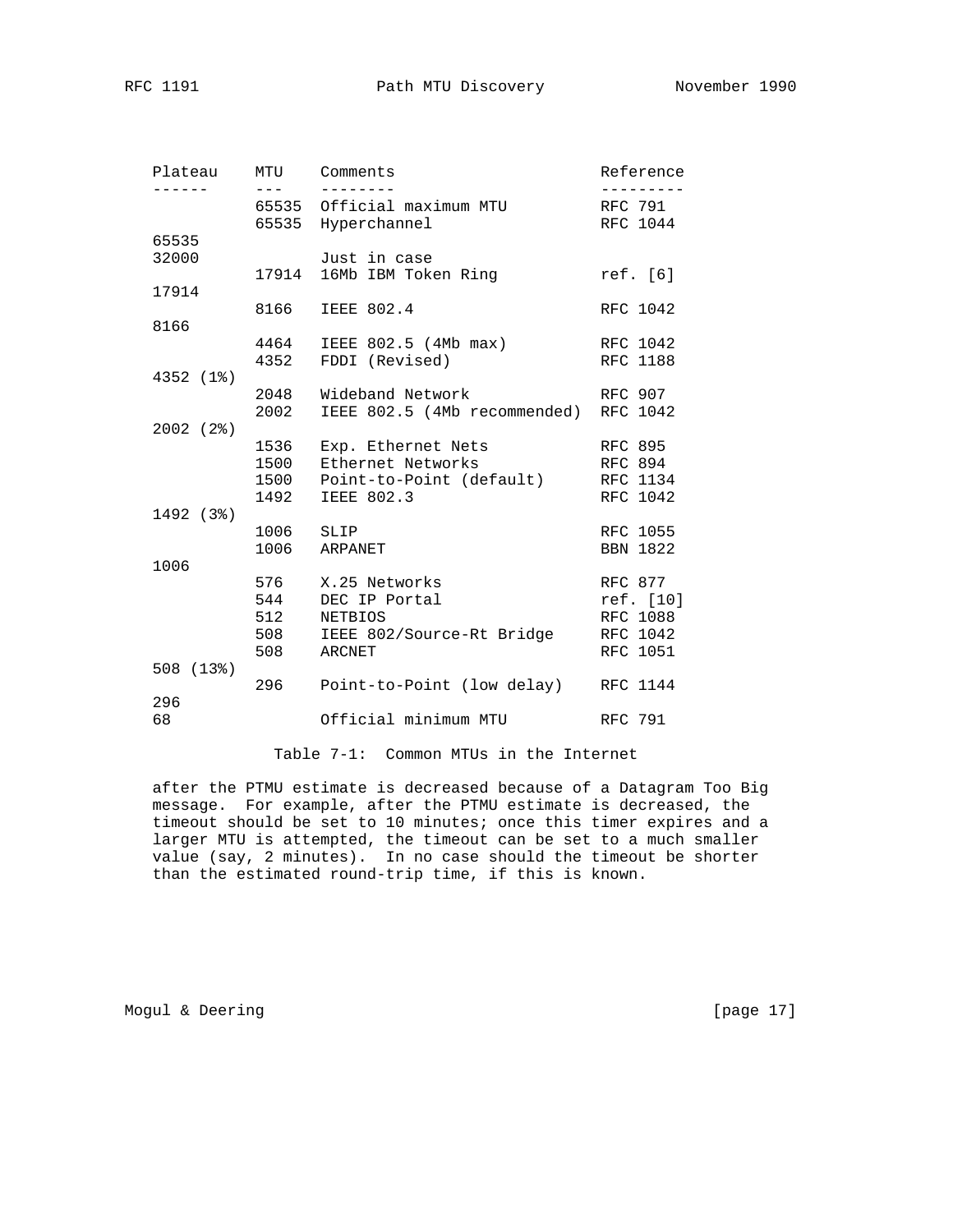| Plateau        | MTU<br>$---$             | Comments                                                                                                    | Reference                                                       |
|----------------|--------------------------|-------------------------------------------------------------------------------------------------------------|-----------------------------------------------------------------|
| -----          |                          | 65535 Official maximum MTU<br>65535 Hyperchannel                                                            | RFC 791<br>RFC 1044                                             |
| 65535<br>32000 |                          | Just in case<br>17914 16Mb IBM Token Ring                                                                   | ref. [6]                                                        |
| 17914          |                          |                                                                                                             |                                                                 |
|                | 8166                     | <b>IEEE 802.4</b>                                                                                           | RFC 1042                                                        |
| 8166           | 4464<br>4352             | IEEE 802.5 (4Mb max)<br>FDDI (Revised)                                                                      | RFC 1042<br><b>RFC 1188</b>                                     |
| 4352 (1%)      | 2002                     | 2048 Wideband Network<br>IEEE 802.5 (4Mb recommended) RFC 1042                                              | RFC 907                                                         |
| 2002(2)        | 1536<br>1492             | Exp. Ethernet Nets<br>1500 Ethernet Networks<br>1500 Point-to-Point (default) RFC 1134<br><b>IEEE 802.3</b> | RFC 895<br>RFC 894<br>RFC 1042                                  |
| 1492 (3%)      | 1006                     | SLIP<br>1006 ARPANET                                                                                        | RFC 1055<br><b>BBN 1822</b>                                     |
| 1006           | 576<br>544<br>512<br>508 | X.25 Networks<br>DEC IP Portal<br><b>NETBIOS</b><br>508 IEEE 802/Source-Rt Bridge<br>ARCNET                 | RFC 877<br>ref. [10]<br><b>RFC 1088</b><br>RFC 1042<br>RFC 1051 |
| 508(13%)       |                          | 296 Point-to-Point (low delay) RFC 1144                                                                     |                                                                 |
| 296<br>68      |                          | Official minimum MTU                                                                                        | <b>RFC 791</b>                                                  |

Table 7-1: Common MTUs in the Internet

 after the PTMU estimate is decreased because of a Datagram Too Big message. For example, after the PTMU estimate is decreased, the timeout should be set to 10 minutes; once this timer expires and a larger MTU is attempted, the timeout can be set to a much smaller value (say, 2 minutes). In no case should the timeout be shorter than the estimated round-trip time, if this is known.

Mogul & Deering [page 17]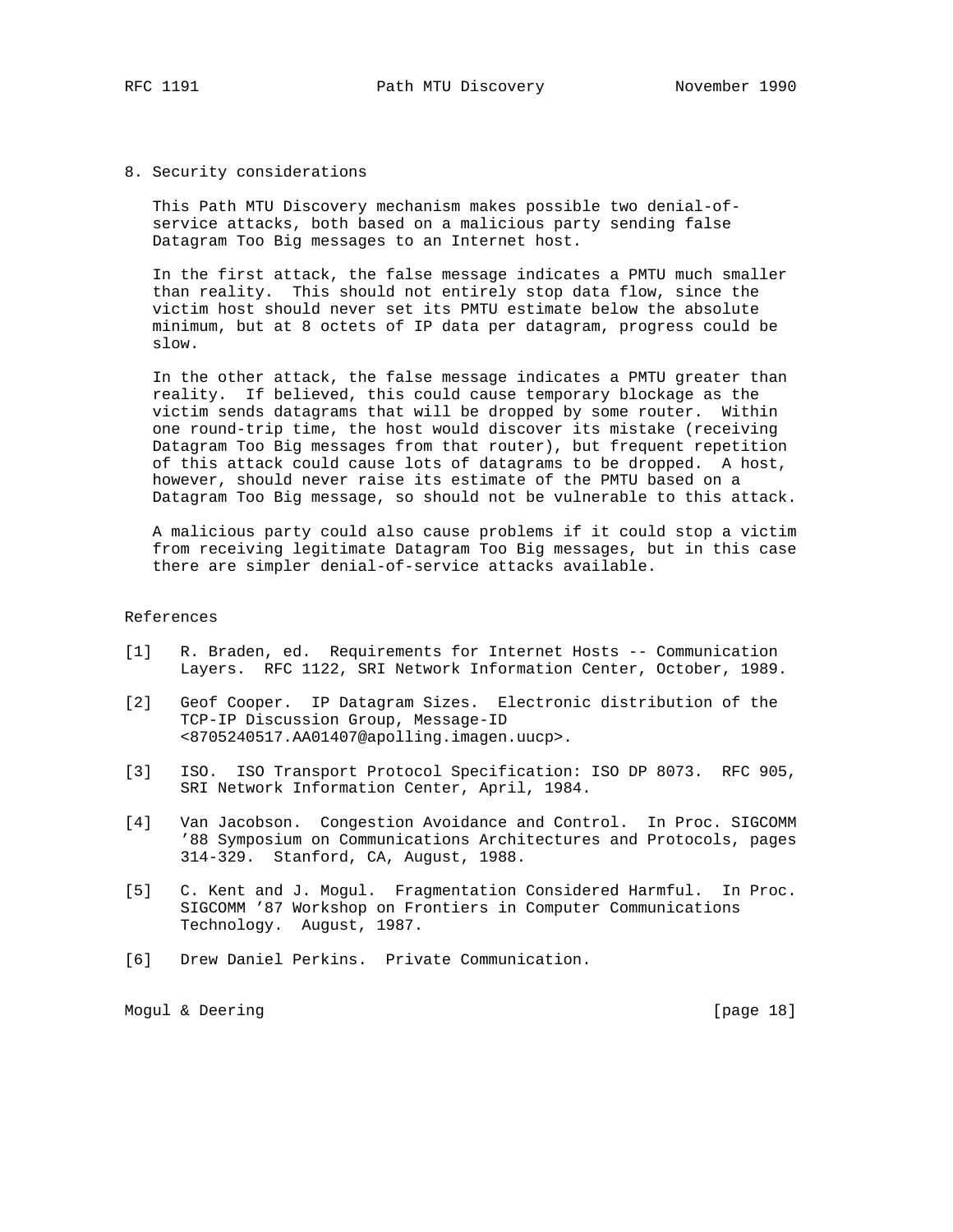### 8. Security considerations

 This Path MTU Discovery mechanism makes possible two denial-of service attacks, both based on a malicious party sending false Datagram Too Big messages to an Internet host.

 In the first attack, the false message indicates a PMTU much smaller than reality. This should not entirely stop data flow, since the victim host should never set its PMTU estimate below the absolute minimum, but at 8 octets of IP data per datagram, progress could be slow.

 In the other attack, the false message indicates a PMTU greater than reality. If believed, this could cause temporary blockage as the victim sends datagrams that will be dropped by some router. Within one round-trip time, the host would discover its mistake (receiving Datagram Too Big messages from that router), but frequent repetition of this attack could cause lots of datagrams to be dropped. A host, however, should never raise its estimate of the PMTU based on a Datagram Too Big message, so should not be vulnerable to this attack.

 A malicious party could also cause problems if it could stop a victim from receiving legitimate Datagram Too Big messages, but in this case there are simpler denial-of-service attacks available.

# References

- [1] R. Braden, ed. Requirements for Internet Hosts -- Communication Layers. RFC 1122, SRI Network Information Center, October, 1989.
- [2] Geof Cooper. IP Datagram Sizes. Electronic distribution of the TCP-IP Discussion Group, Message-ID <8705240517.AA01407@apolling.imagen.uucp>.
- [3] ISO. ISO Transport Protocol Specification: ISO DP 8073. RFC 905, SRI Network Information Center, April, 1984.
- [4] Van Jacobson. Congestion Avoidance and Control. In Proc. SIGCOMM '88 Symposium on Communications Architectures and Protocols, pages 314-329. Stanford, CA, August, 1988.
- [5] C. Kent and J. Mogul. Fragmentation Considered Harmful. In Proc. SIGCOMM '87 Workshop on Frontiers in Computer Communications Technology. August, 1987.
- [6] Drew Daniel Perkins. Private Communication.

Mogul & Deering [page 18]